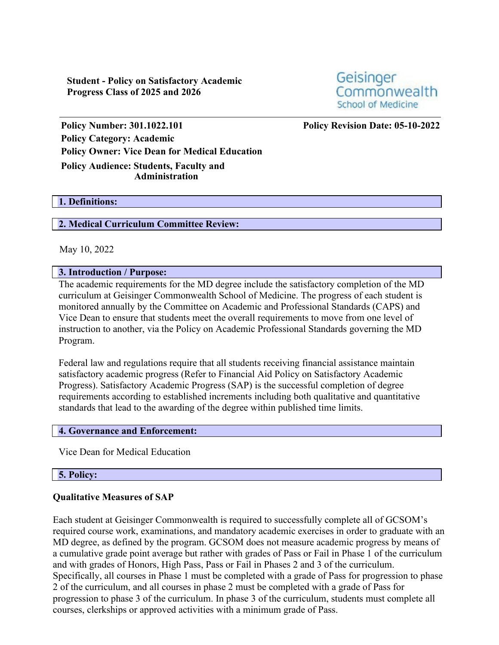**Student - Policy on Satisfactory Academic Progress Class of 2025 and 2026**



**Policy Number: 301.1022.101 Policy Revision Date: 05-10-2022 Policy Category: Academic Policy Owner: Vice Dean for Medical Education Policy Audience: Students, Faculty and**

### **Administration**

#### **1. Definitions:**

## **2. Medical Curriculum Committee Review:**

May 10, 2022

### **3. Introduction / Purpose:**

The academic requirements for the MD degree include the satisfactory completion of the MD curriculum at Geisinger Commonwealth School of Medicine. The progress of each student is monitored annually by the Committee on Academic and Professional Standards (CAPS) and Vice Dean to ensure that students meet the overall requirements to move from one level of instruction to another, via the Policy on Academic Professional Standards governing the MD Program.

Federal law and regulations require that all students receiving financial assistance maintain satisfactory academic progress (Refer to Financial Aid Policy on Satisfactory Academic Progress). Satisfactory Academic Progress (SAP) is the successful completion of degree requirements according to established increments including both qualitative and quantitative standards that lead to the awarding of the degree within published time limits.

### **4. Governance and Enforcement:**

Vice Dean for Medical Education

### **5. Policy:**

### **Qualitative Measures of SAP**

Each student at Geisinger Commonwealth is required to successfully complete all of GCSOM's required course work, examinations, and mandatory academic exercises in order to graduate with an MD degree, as defined by the program. GCSOM does not measure academic progress by means of a cumulative grade point average but rather with grades of Pass or Fail in Phase 1 of the curriculum and with grades of Honors, High Pass, Pass or Fail in Phases 2 and 3 of the curriculum. Specifically, all courses in Phase 1 must be completed with a grade of Pass for progression to phase 2 of the curriculum, and all courses in phase 2 must be completed with a grade of Pass for progression to phase 3 of the curriculum. In phase 3 of the curriculum, students must complete all courses, clerkships or approved activities with a minimum grade of Pass.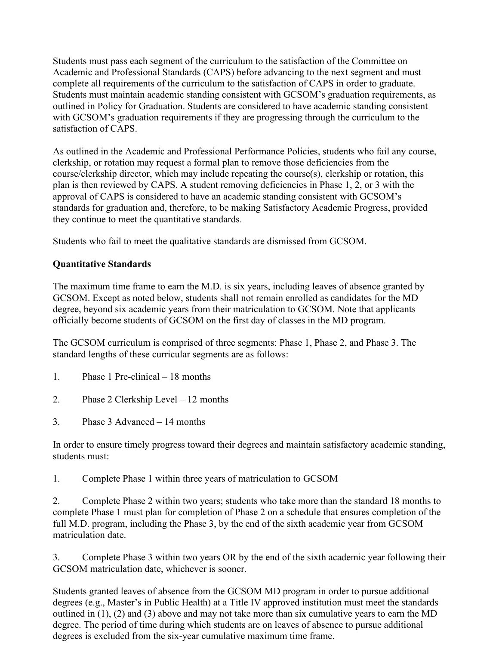Students must pass each segment of the curriculum to the satisfaction of the Committee on Academic and Professional Standards (CAPS) before advancing to the next segment and must complete all requirements of the curriculum to the satisfaction of CAPS in order to graduate. Students must maintain academic standing consistent with GCSOM's graduation requirements, as outlined in Policy for Graduation. Students are considered to have academic standing consistent with GCSOM's graduation requirements if they are progressing through the curriculum to the satisfaction of CAPS.

As outlined in the Academic and Professional Performance Policies, students who fail any course, clerkship, or rotation may request a formal plan to remove those deficiencies from the course/clerkship director, which may include repeating the course(s), clerkship or rotation, this plan is then reviewed by CAPS. A student removing deficiencies in Phase 1, 2, or 3 with the approval of CAPS is considered to have an academic standing consistent with GCSOM's standards for graduation and, therefore, to be making Satisfactory Academic Progress, provided they continue to meet the quantitative standards.

Students who fail to meet the qualitative standards are dismissed from GCSOM.

# **Quantitative Standards**

The maximum time frame to earn the M.D. is six years, including leaves of absence granted by GCSOM. Except as noted below, students shall not remain enrolled as candidates for the MD degree, beyond six academic years from their matriculation to GCSOM. Note that applicants officially become students of GCSOM on the first day of classes in the MD program.

The GCSOM curriculum is comprised of three segments: Phase 1, Phase 2, and Phase 3. The standard lengths of these curricular segments are as follows:

- 1. Phase 1 Pre-clinical 18 months
- 2. Phase 2 Clerkship Level 12 months
- 3. Phase 3 Advanced 14 months

In order to ensure timely progress toward their degrees and maintain satisfactory academic standing, students must:

1. Complete Phase 1 within three years of matriculation to GCSOM

2. Complete Phase 2 within two years; students who take more than the standard 18 months to complete Phase 1 must plan for completion of Phase 2 on a schedule that ensures completion of the full M.D. program, including the Phase 3, by the end of the sixth academic year from GCSOM matriculation date.

3. Complete Phase 3 within two years OR by the end of the sixth academic year following their GCSOM matriculation date, whichever is sooner.

Students granted leaves of absence from the GCSOM MD program in order to pursue additional degrees (e.g., Master's in Public Health) at a Title IV approved institution must meet the standards outlined in (1), (2) and (3) above and may not take more than six cumulative years to earn the MD degree. The period of time during which students are on leaves of absence to pursue additional degrees is excluded from the six-year cumulative maximum time frame.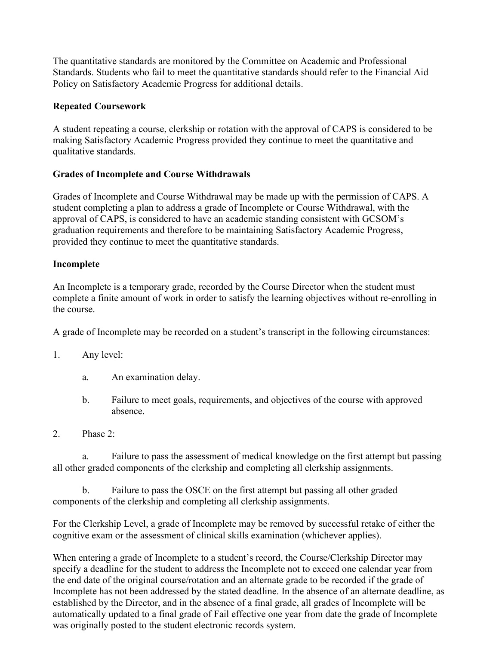The quantitative standards are monitored by the Committee on Academic and Professional Standards. Students who fail to meet the quantitative standards should refer to the Financial Aid Policy on Satisfactory Academic Progress for additional details.

## **Repeated Coursework**

A student repeating a course, clerkship or rotation with the approval of CAPS is considered to be making Satisfactory Academic Progress provided they continue to meet the quantitative and qualitative standards.

## **Grades of Incomplete and Course Withdrawals**

Grades of Incomplete and Course Withdrawal may be made up with the permission of CAPS. A student completing a plan to address a grade of Incomplete or Course Withdrawal, with the approval of CAPS, is considered to have an academic standing consistent with GCSOM's graduation requirements and therefore to be maintaining Satisfactory Academic Progress, provided they continue to meet the quantitative standards.

## **Incomplete**

An Incomplete is a temporary grade, recorded by the Course Director when the student must complete a finite amount of work in order to satisfy the learning objectives without re-enrolling in the course.

A grade of Incomplete may be recorded on a student's transcript in the following circumstances:

- 1. Any level:
	- a. An examination delay.
	- b. Failure to meet goals, requirements, and objectives of the course with approved absence.
- 2. Phase 2:

a. Failure to pass the assessment of medical knowledge on the first attempt but passing all other graded components of the clerkship and completing all clerkship assignments.

b. Failure to pass the OSCE on the first attempt but passing all other graded components of the clerkship and completing all clerkship assignments.

For the Clerkship Level, a grade of Incomplete may be removed by successful retake of either the cognitive exam or the assessment of clinical skills examination (whichever applies).

When entering a grade of Incomplete to a student's record, the Course/Clerkship Director may specify a deadline for the student to address the Incomplete not to exceed one calendar year from the end date of the original course/rotation and an alternate grade to be recorded if the grade of Incomplete has not been addressed by the stated deadline. In the absence of an alternate deadline, as established by the Director, and in the absence of a final grade, all grades of Incomplete will be automatically updated to a final grade of Fail effective one year from date the grade of Incomplete was originally posted to the student electronic records system.